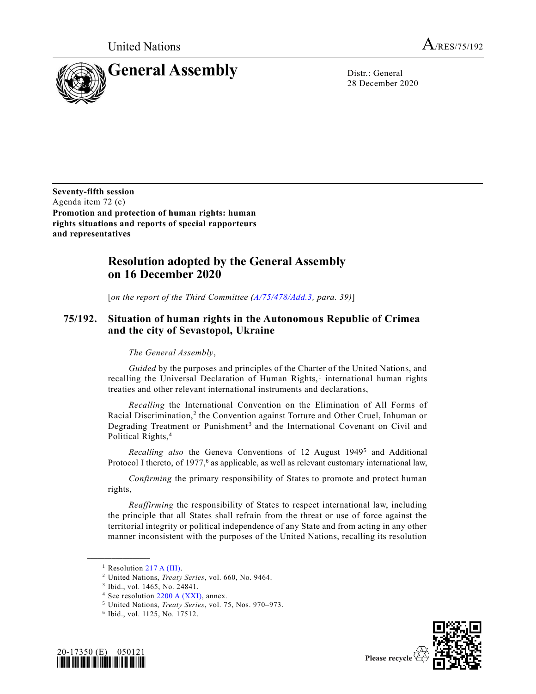

28 December 2020

**Seventy-fifth session** Agenda item 72 (c) **Promotion and protection of human rights: human rights situations and reports of special rapporteurs and representatives**

## **Resolution adopted by the General Assembly on 16 December 2020**

[*on the report of the Third Committee [\(A/75/478/Add.3,](https://undocs.org/en/A/75/478/Add.3) para. 39)*]

## **75/192. Situation of human rights in the Autonomous Republic of Crimea and the city of Sevastopol, Ukraine**

## *The General Assembly*,

*Guided* by the purposes and principles of the Charter of the United Nations, and recalling the Universal Declaration of Human Rights,<sup>1</sup> international human rights treaties and other relevant international instruments and declarations,

*Recalling* the International Convention on the Elimination of All Forms of Racial Discrimination,<sup>2</sup> the Convention against Torture and Other Cruel, Inhuman or Degrading Treatment or Punishment<sup>3</sup> and the International Covenant on Civil and Political Rights,<sup>4</sup>

Recalling also the Geneva Conventions of 12 August 1949<sup>5</sup> and Additional Protocol I thereto, of 1977,<sup>6</sup> as applicable, as well as relevant customary international law,

*Confirming* the primary responsibility of States to promote and protect human rights,

*Reaffirming* the responsibility of States to respect international law, including the principle that all States shall refrain from the threat or use of force against the territorial integrity or political independence of any State and from acting in any other manner inconsistent with the purposes of the United Nations, recalling its resolution

<sup>6</sup> Ibid., vol. 1125, No. 17512.





<sup>&</sup>lt;sup>1</sup> Resolution [217 A \(III\).](https://undocs.org/en/A/RES/217%20(III))

<sup>2</sup> United Nations, *Treaty Series*, vol. 660, No. 9464.

<sup>3</sup> Ibid., vol. 1465, No. 24841.

<sup>4</sup> See resolution [2200 A \(XXI\),](https://undocs.org/en/A/RES/2200%20(XXI)) annex.

<sup>5</sup> United Nations, *Treaty Series*, vol. 75, Nos. 970–973.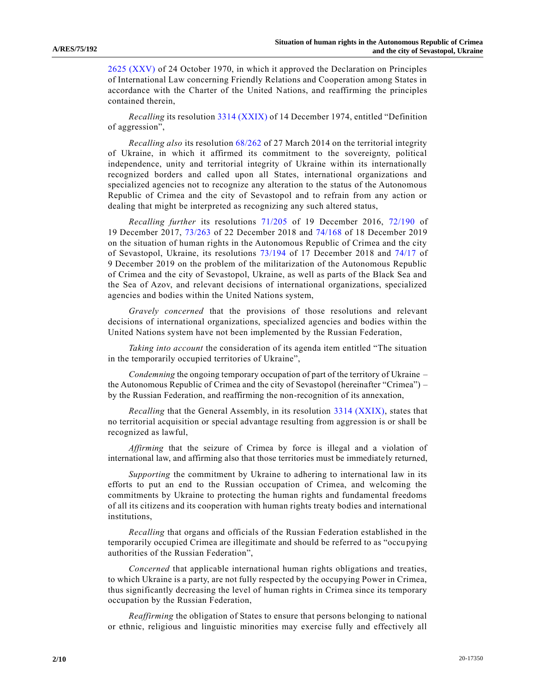[2625 \(XXV\)](https://undocs.org/en/A/RES/2625(XXV)) of 24 October 1970, in which it approved the Declaration on Principles of International Law concerning Friendly Relations and Cooperation among States in accordance with the Charter of the United Nations, and reaffirming the principles contained therein,

*Recalling* its resolution [3314 \(XXIX\)](https://undocs.org/en/A/RES/3314(XXIX)) of 14 December 1974, entitled "Definition of aggression",

*Recalling also* its resolution [68/262](https://undocs.org/en/A/RES/68/262) of 27 March 2014 on the territorial integrity of Ukraine, in which it affirmed its commitment to the sovereignty, political independence, unity and territorial integrity of Ukraine within its internationally recognized borders and called upon all States, international organizations and specialized agencies not to recognize any alteration to the status of the Autonomous Republic of Crimea and the city of Sevastopol and to refrain from any action or dealing that might be interpreted as recognizing any such altered status,

*Recalling further* its resolutions [71/205](https://undocs.org/en/A/RES/71/205) of 19 December 2016, [72/190](https://undocs.org/en/A/RES/72/190) of 19 December 2017, [73/263](https://undocs.org/en/A/RES/73/263) of 22 December 2018 and [74/168](https://undocs.org/en/A/RES/74/168) of 18 December 2019 on the situation of human rights in the Autonomous Republic of Crimea and the city of Sevastopol, Ukraine, its resolutions [73/194](https://undocs.org/en/A/RES/73/194) of 17 December 2018 and [74/17](https://undocs.org/en/A/RES/74/17) of 9 December 2019 on the problem of the militarization of the Autonomous Republic of Crimea and the city of Sevastopol, Ukraine, as well as parts of the Black Sea and the Sea of Azov, and relevant decisions of international organizations, specialized agencies and bodies within the United Nations system,

*Gravely concerned* that the provisions of those resolutions and relevant decisions of international organizations, specialized agencies and bodies within the United Nations system have not been implemented by the Russian Federation,

*Taking into account* the consideration of its agenda item entitled "The situation in the temporarily occupied territories of Ukraine",

*Condemning* the ongoing temporary occupation of part of the territory of Ukraine – the Autonomous Republic of Crimea and the city of Sevastopol (hereinafter "Crimea") – by the Russian Federation, and reaffirming the non-recognition of its annexation,

*Recalling* that the General Assembly, in its resolution [3314 \(XXIX\),](https://undocs.org/en/A/RES/3314(XXIX)) states that no territorial acquisition or special advantage resulting from aggression is or shall be recognized as lawful,

*Affirming* that the seizure of Crimea by force is illegal and a violation of international law, and affirming also that those territories must be immediately returned,

*Supporting* the commitment by Ukraine to adhering to international law in its efforts to put an end to the Russian occupation of Crimea, and welcoming the commitments by Ukraine to protecting the human rights and fundamental freedoms of all its citizens and its cooperation with human rights treaty bodies and international institutions,

*Recalling* that organs and officials of the Russian Federation established in the temporarily occupied Crimea are illegitimate and should be referred to as "occu pying authorities of the Russian Federation",

*Concerned* that applicable international human rights obligations and treaties, to which Ukraine is a party, are not fully respected by the occupying Power in Crimea, thus significantly decreasing the level of human rights in Crimea since its temporary occupation by the Russian Federation,

*Reaffirming* the obligation of States to ensure that persons belonging to national or ethnic, religious and linguistic minorities may exercise fully and effectively all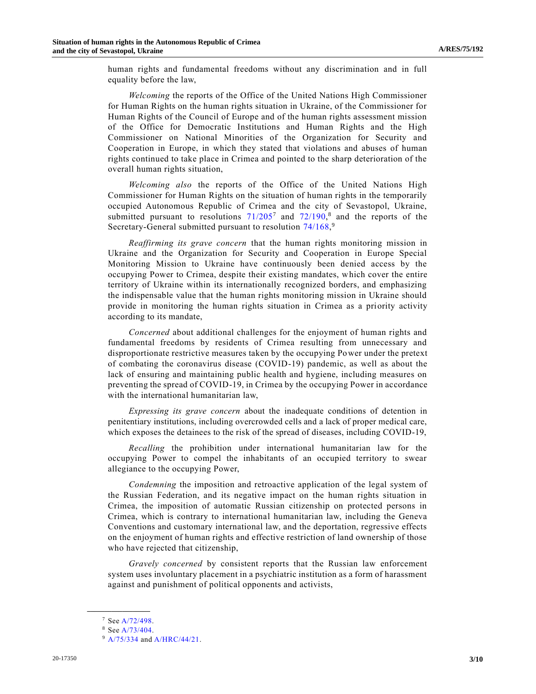human rights and fundamental freedoms without any discrimination and in full equality before the law,

*Welcoming* the reports of the Office of the United Nations High Commissioner for Human Rights on the human rights situation in Ukraine, of the Commissioner for Human Rights of the Council of Europe and of the human rights assessment mission of the Office for Democratic Institutions and Human Rights and the High Commissioner on National Minorities of the Organization for Security and Cooperation in Europe, in which they stated that violations and abuses of human rights continued to take place in Crimea and pointed to the sharp deterioration of the overall human rights situation,

*Welcoming also* the reports of the Office of the United Nations High Commissioner for Human Rights on the situation of human rights in the temporarily occupied Autonomous Republic of Crimea and the city of Sevastopol, Ukraine, submitted pursuant to resolutions  $71/205^7$  $71/205^7$  and  $72/190$ ,<sup>8</sup> and the reports of the Secretary-General submitted pursuant to resolution [74/168,](https://undocs.org/en/A/RES/74/168)9

*Reaffirming its grave concern* that the human rights monitoring mission in Ukraine and the Organization for Security and Cooperation in Europe Special Monitoring Mission to Ukraine have continuously been denied access by the occupying Power to Crimea, despite their existing mandates, which cover the entire territory of Ukraine within its internationally recognized borders, and emphasizing the indispensable value that the human rights monitoring mission in Ukraine should provide in monitoring the human rights situation in Crimea as a priority activity according to its mandate,

*Concerned* about additional challenges for the enjoyment of human rights and fundamental freedoms by residents of Crimea resulting from unnecessary and disproportionate restrictive measures taken by the occupying Power under the pretext of combating the coronavirus disease (COVID-19) pandemic, as well as about the lack of ensuring and maintaining public health and hygiene, including measures on preventing the spread of COVID-19, in Crimea by the occupying Power in accordance with the international humanitarian law,

*Expressing its grave concern* about the inadequate conditions of detention in penitentiary institutions, including overcrowded cells and a lack of proper medical care, which exposes the detainees to the risk of the spread of diseases, including COVID-19,

*Recalling* the prohibition under international humanitarian law for the occupying Power to compel the inhabitants of an occupied territory to swear allegiance to the occupying Power,

*Condemning* the imposition and retroactive application of the legal system of the Russian Federation, and its negative impact on the human rights situation in Crimea, the imposition of automatic Russian citizenship on protected persons in Crimea, which is contrary to international humanitarian law, including the Geneva Conventions and customary international law, and the deportation, regressive effects on the enjoyment of human rights and effective restriction of land ownership of those who have rejected that citizenship,

*Gravely concerned* by consistent reports that the Russian law enforcement system uses involuntary placement in a psychiatric institution as a form of harassment against and punishment of political opponents and activists,

<sup>7</sup> Se[e A/72/498.](https://undocs.org/en/A/72/498)

<sup>8</sup> Se[e A/73/404.](https://undocs.org/en/A/73/404)

<sup>&</sup>lt;sup>9</sup> [A/75/334](https://undocs.org/en/A/75/334) and [A/HRC/44/21.](https://undocs.org/en/A/HRC/44/21)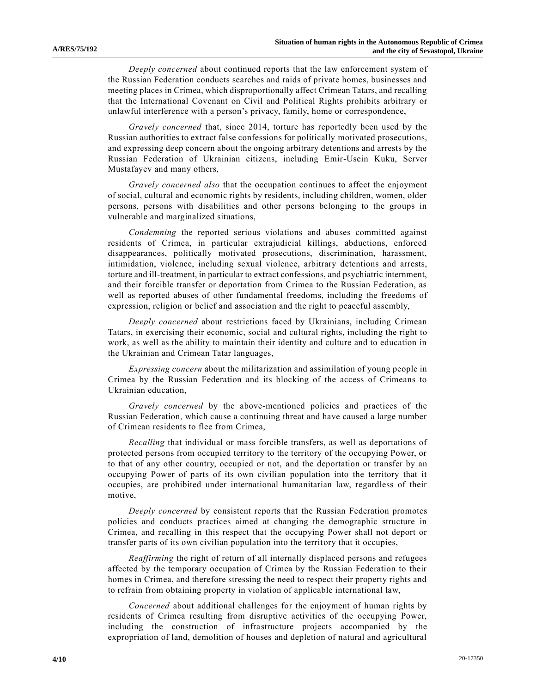*Deeply concerned* about continued reports that the law enforcement system of the Russian Federation conducts searches and raids of private homes, businesses and meeting places in Crimea, which disproportionally affect Crimean Tatars, and recalling that the International Covenant on Civil and Political Rights prohibits arbitrary or unlawful interference with a person's privacy, family, home or correspondence,

*Gravely concerned* that, since 2014, torture has reportedly been used by the Russian authorities to extract false confessions for politically motivated prosecutions, and expressing deep concern about the ongoing arbitrary detentions and arrests by the Russian Federation of Ukrainian citizens, including Emir-Usein Kuku, Server Mustafayev and many others,

*Gravely concerned also* that the occupation continues to affect the enjoyment of social, cultural and economic rights by residents, including children, women, older persons, persons with disabilities and other persons belonging to the groups in vulnerable and marginalized situations,

*Condemning* the reported serious violations and abuses committed against residents of Crimea, in particular extrajudicial killings, abductions, enforced disappearances, politically motivated prosecutions, discrimination, harassment, intimidation, violence, including sexual violence, arbitrary detentions and arrests, torture and ill-treatment, in particular to extract confessions, and psychiatric internment, and their forcible transfer or deportation from Crimea to the Russian Federation, as well as reported abuses of other fundamental freedoms, including the freedoms of expression, religion or belief and association and the right to peaceful assembly,

*Deeply concerned* about restrictions faced by Ukrainians, including Crimean Tatars, in exercising their economic, social and cultural rights, including the right to work, as well as the ability to maintain their identity and culture and to education in the Ukrainian and Crimean Tatar languages,

*Expressing concern* about the militarization and assimilation of young people in Crimea by the Russian Federation and its blocking of the access of Crimeans to Ukrainian education,

*Gravely concerned* by the above-mentioned policies and practices of the Russian Federation, which cause a continuing threat and have caused a large number of Crimean residents to flee from Crimea,

*Recalling* that individual or mass forcible transfers, as well as deportations of protected persons from occupied territory to the territory of the occupying Power, or to that of any other country, occupied or not, and the deportation or transfer by an occupying Power of parts of its own civilian population into the territory that it occupies, are prohibited under international humanitarian law, regardless of their motive,

*Deeply concerned* by consistent reports that the Russian Federation promotes policies and conducts practices aimed at changing the demographic structure in Crimea, and recalling in this respect that the occupying Power shall not deport or transfer parts of its own civilian population into the territory that it occupies,

*Reaffirming* the right of return of all internally displaced persons and refugees affected by the temporary occupation of Crimea by the Russian Federation to their homes in Crimea, and therefore stressing the need to respect their property rights and to refrain from obtaining property in violation of applicable international law,

*Concerned* about additional challenges for the enjoyment of human rights by residents of Crimea resulting from disruptive activities of the occupying Power, including the construction of infrastructure projects accompanied by the expropriation of land, demolition of houses and depletion of natural and agricultural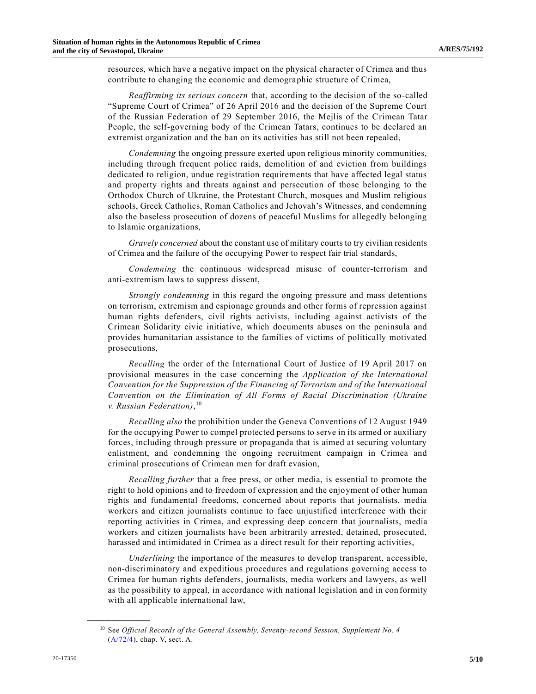resources, which have a negative impact on the physical character of Crimea and thus contribute to changing the economic and demographic structure of Crimea,

*Reaffirming its serious concern* that, according to the decision of the so-called "Supreme Court of Crimea" of 26 April 2016 and the decision of the Supreme Court of the Russian Federation of 29 September 2016, the Mejlis of the Crimean Tatar People, the self-governing body of the Crimean Tatars, continues to be declared an extremist organization and the ban on its activities has still not been repealed,

*Condemning* the ongoing pressure exerted upon religious minority communities, including through frequent police raids, demolition of and eviction from buildings dedicated to religion, undue registration requirements that have affected legal status and property rights and threats against and persecution of those belonging to the Orthodox Church of Ukraine, the Protestant Church, mosques and Muslim religious schools, Greek Catholics, Roman Catholics and Jehovah's Witnesses, and condemning also the baseless prosecution of dozens of peaceful Muslims for allegedly belonging to Islamic organizations,

*Gravely concerned* about the constant use of military courts to try civilian residents of Crimea and the failure of the occupying Power to respect fair trial standards,

*Condemning* the continuous widespread misuse of counter-terrorism and anti-extremism laws to suppress dissent,

*Strongly condemning* in this regard the ongoing pressure and mass detentions on terrorism, extremism and espionage grounds and other forms of repression against human rights defenders, civil rights activists, including against activists of the Crimean Solidarity civic initiative, which documents abuses on the peninsula and provides humanitarian assistance to the families of victims of politically motivated prosecutions,

*Recalling* the order of the International Court of Justice of 19 April 2017 on provisional measures in the case concerning the *Application of the International Convention for the Suppression of the Financing of Terrorism and of the International Convention on the Elimination of All Forms of Racial Discrimination (Ukraine v. Russian Federation)*, 10

*Recalling also* the prohibition under the Geneva Conventions of 12 August 1949 for the occupying Power to compel protected persons to serve in its armed or auxiliary forces, including through pressure or propaganda that is aimed at securing voluntary enlistment, and condemning the ongoing recruitment campaign in Crimea and criminal prosecutions of Crimean men for draft evasion,

*Recalling further* that a free press, or other media, is essential to promote the right to hold opinions and to freedom of expression and the enjoyment of other human rights and fundamental freedoms, concerned about reports that journalists, media workers and citizen journalists continue to face unjustified interference with their reporting activities in Crimea, and expressing deep concern that journalists, media workers and citizen journalists have been arbitrarily arrested, detained, prosecuted, harassed and intimidated in Crimea as a direct result for their reporting activities,

*Underlining* the importance of the measures to develop transparent, accessible, non-discriminatory and expeditious procedures and regulations governing access to Crimea for human rights defenders, journalists, media workers and lawyers, as well as the possibility to appeal, in accordance with national legislation and in conformity with all applicable international law,

<sup>10</sup> See *Official Records of the General Assembly, Seventy-second Session, Supplement No. 4* [\(A/72/4\)](https://undocs.org/en/A/72/4), chap. V, sect. A.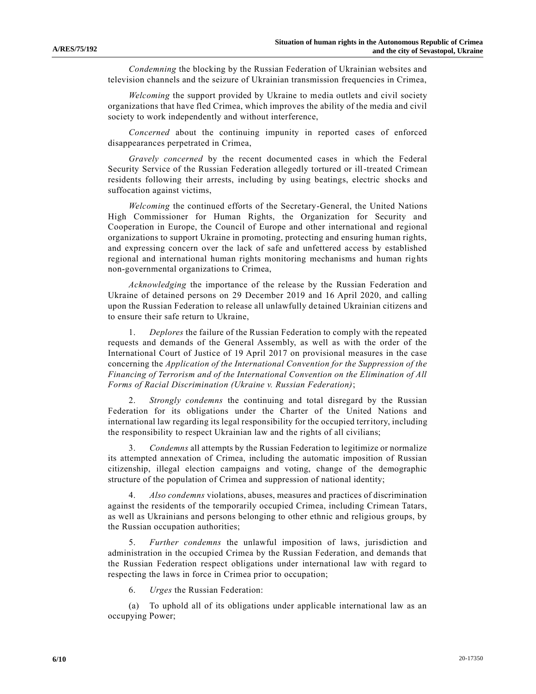*Condemning* the blocking by the Russian Federation of Ukrainian websites and television channels and the seizure of Ukrainian transmission frequencies in Crimea,

*Welcoming* the support provided by Ukraine to media outlets and civil society organizations that have fled Crimea, which improves the ability of the media and civil society to work independently and without interference,

*Concerned* about the continuing impunity in reported cases of enforced disappearances perpetrated in Crimea,

*Gravely concerned* by the recent documented cases in which the Federal Security Service of the Russian Federation allegedly tortured or ill-treated Crimean residents following their arrests, including by using beatings, electric shocks and suffocation against victims,

*Welcoming* the continued efforts of the Secretary-General, the United Nations High Commissioner for Human Rights, the Organization for Security and Cooperation in Europe, the Council of Europe and other international and regional organizations to support Ukraine in promoting, protecting and ensuring human rights, and expressing concern over the lack of safe and unfettered access by established regional and international human rights monitoring mechanisms and human rights non-governmental organizations to Crimea,

*Acknowledging* the importance of the release by the Russian Federation and Ukraine of detained persons on 29 December 2019 and 16 April 2020, and calling upon the Russian Federation to release all unlawfully detained Ukrainian citizens and to ensure their safe return to Ukraine,

1. *Deplores* the failure of the Russian Federation to comply with the repeated requests and demands of the General Assembly, as well as with the order of the International Court of Justice of 19 April 2017 on provisional measures in the case concerning the *Application of the International Convention for the Suppression of the Financing of Terrorism and of the International Convention on the Elimination of All Forms of Racial Discrimination (Ukraine v. Russian Federation)*;

2. *Strongly condemns* the continuing and total disregard by the Russian Federation for its obligations under the Charter of the United Nations and international law regarding its legal responsibility for the occupied territory, including the responsibility to respect Ukrainian law and the rights of all civilians;

3. *Condemns* all attempts by the Russian Federation to legitimize or normalize its attempted annexation of Crimea, including the automatic imposition of Russian citizenship, illegal election campaigns and voting, change of the demographic structure of the population of Crimea and suppression of national identity;

4. *Also condemns* violations, abuses, measures and practices of discrimination against the residents of the temporarily occupied Crimea, including Crimean Tatars, as well as Ukrainians and persons belonging to other ethnic and religious groups, by the Russian occupation authorities;

5. *Further condemns* the unlawful imposition of laws, jurisdiction and administration in the occupied Crimea by the Russian Federation, and demands that the Russian Federation respect obligations under international law with regard to respecting the laws in force in Crimea prior to occupation;

6. *Urges* the Russian Federation:

(a) To uphold all of its obligations under applicable international law as an occupying Power;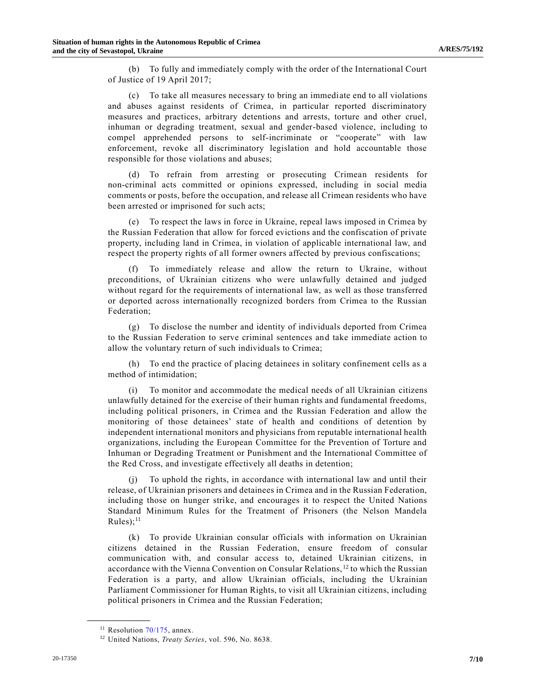(b) To fully and immediately comply with the order of the International Court of Justice of 19 April 2017;

(c) To take all measures necessary to bring an immediate end to all violations and abuses against residents of Crimea, in particular reported discriminatory measures and practices, arbitrary detentions and arrests, torture and other cruel, inhuman or degrading treatment, sexual and gender-based violence, including to compel apprehended persons to self-incriminate or "cooperate" with law enforcement, revoke all discriminatory legislation and hold accountable those responsible for those violations and abuses;

(d) To refrain from arresting or prosecuting Crimean residents for non-criminal acts committed or opinions expressed, including in social media comments or posts, before the occupation, and release all Crimean residents who have been arrested or imprisoned for such acts;

(e) To respect the laws in force in Ukraine, repeal laws imposed in Crimea by the Russian Federation that allow for forced evictions and the confiscation of private property, including land in Crimea, in violation of applicable international law, and respect the property rights of all former owners affected by previous confiscations;

(f) To immediately release and allow the return to Ukraine, without preconditions, of Ukrainian citizens who were unlawfully detained and judged without regard for the requirements of international law, as well as those transferred or deported across internationally recognized borders from Crimea to the Russian Federation;

(g) To disclose the number and identity of individuals deported from Crimea to the Russian Federation to serve criminal sentences and take immediate action to allow the voluntary return of such individuals to Crimea;

(h) To end the practice of placing detainees in solitary confinement cells as a method of intimidation;

(i) To monitor and accommodate the medical needs of all Ukrainian citizens unlawfully detained for the exercise of their human rights and fundamental freedoms, including political prisoners, in Crimea and the Russian Federation and allow the monitoring of those detainees' state of health and conditions of detention by independent international monitors and physicians from reputable international health organizations, including the European Committee for the Prevention of Torture and Inhuman or Degrading Treatment or Punishment and the International Committee of the Red Cross, and investigate effectively all deaths in detention;

(j) To uphold the rights, in accordance with international law and until their release, of Ukrainian prisoners and detainees in Crimea and in the Russian Federation, including those on hunger strike, and encourages it to respect the United Nations Standard Minimum Rules for the Treatment of Prisoners (the Nelson Mandela  $Rules);$ <sup>11</sup>

(k) To provide Ukrainian consular officials with information on Ukrainian citizens detained in the Russian Federation, ensure freedom of consular communication with, and consular access to, detained Ukrainian citizens, in accordance with the Vienna Convention on Consular Relations, <sup>12</sup> to which the Russian Federation is a party, and allow Ukrainian officials, including the Ukrainian Parliament Commissioner for Human Rights, to visit all Ukrainian citizens, including political prisoners in Crimea and the Russian Federation;

 $11$  Resolution [70/175,](https://undocs.org/en/A/RES/70/175) annex.

<sup>12</sup> United Nations, *Treaty Series*, vol. 596, No. 8638.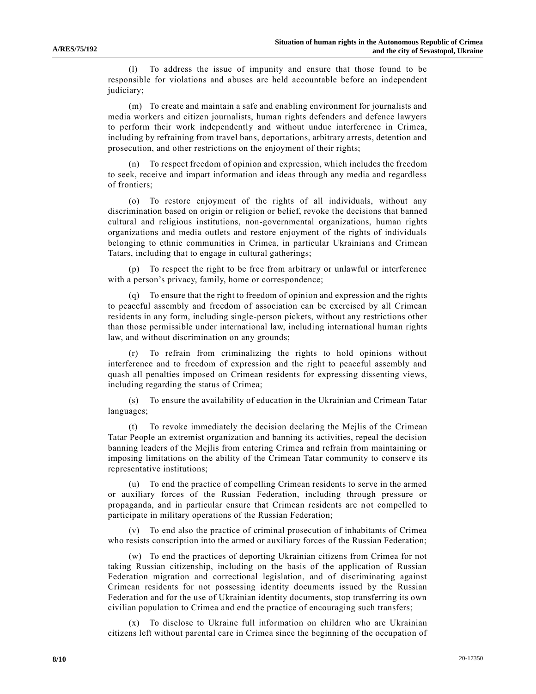(l) To address the issue of impunity and ensure that those found to be responsible for violations and abuses are held accountable before an independent judiciary;

(m) To create and maintain a safe and enabling environment for journalists and media workers and citizen journalists, human rights defenders and defence lawyers to perform their work independently and without undue interference in Crimea, including by refraining from travel bans, deportations, arbitrary arrests, detention and prosecution, and other restrictions on the enjoyment of their rights;

(n) To respect freedom of opinion and expression, which includes the freedom to seek, receive and impart information and ideas through any media and regardless of frontiers;

(o) To restore enjoyment of the rights of all individuals, without any discrimination based on origin or religion or belief, revoke the decisions that banned cultural and religious institutions, non-governmental organizations, human rights organizations and media outlets and restore enjoyment of the rights of individuals belonging to ethnic communities in Crimea, in particular Ukrainians and Crimean Tatars, including that to engage in cultural gatherings;

(p) To respect the right to be free from arbitrary or unlawful or interference with a person's privacy, family, home or correspondence;

(q) To ensure that the right to freedom of opinion and expression and the rights to peaceful assembly and freedom of association can be exercised by all Crimean residents in any form, including single-person pickets, without any restrictions other than those permissible under international law, including international human rights law, and without discrimination on any grounds;

To refrain from criminalizing the rights to hold opinions without interference and to freedom of expression and the right to peaceful assembly and quash all penalties imposed on Crimean residents for expressing dissenting views, including regarding the status of Crimea;

(s) To ensure the availability of education in the Ukrainian and Crimean Tatar languages;

(t) To revoke immediately the decision declaring the Mejlis of the Crimean Tatar People an extremist organization and banning its activities, repeal the decision banning leaders of the Mejlis from entering Crimea and refrain from maintaining or imposing limitations on the ability of the Crimean Tatar community to conserve its representative institutions;

(u) To end the practice of compelling Crimean residents to serve in the armed or auxiliary forces of the Russian Federation, including through pressure or propaganda, and in particular ensure that Crimean residents are not compelled to participate in military operations of the Russian Federation;

(v) To end also the practice of criminal prosecution of inhabitants of Crimea who resists conscription into the armed or auxiliary forces of the Russian Federation;

(w) To end the practices of deporting Ukrainian citizens from Crimea for not taking Russian citizenship, including on the basis of the application of Russian Federation migration and correctional legislation, and of discriminating against Crimean residents for not possessing identity documents issued by the Russian Federation and for the use of Ukrainian identity documents, stop transferring its own civilian population to Crimea and end the practice of encouraging such transfers;

(x) To disclose to Ukraine full information on children who are Ukrainian citizens left without parental care in Crimea since the beginning of the occupation of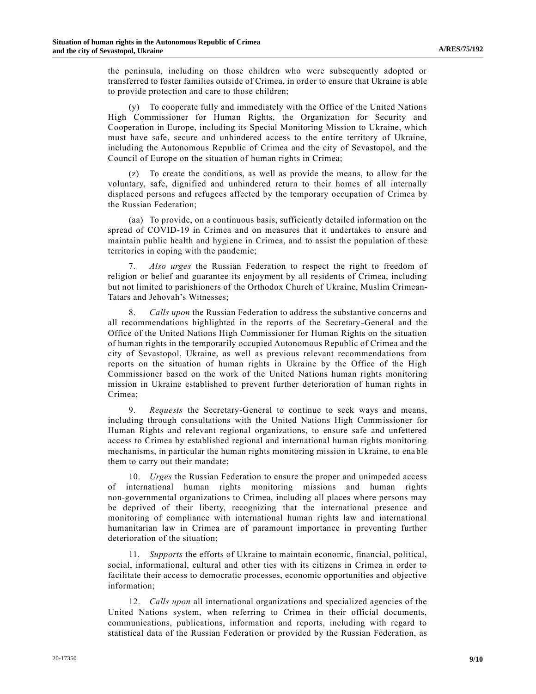the peninsula, including on those children who were subsequently adopted or transferred to foster families outside of Crimea, in order to ensure that Ukraine is able to provide protection and care to those children;

(y) To cooperate fully and immediately with the Office of the United Nations High Commissioner for Human Rights, the Organization for Security and Cooperation in Europe, including its Special Monitoring Mission to Ukraine, which must have safe, secure and unhindered access to the entire territory of Ukraine, including the Autonomous Republic of Crimea and the city of Sevastopol, and the Council of Europe on the situation of human rights in Crimea;

(z) To create the conditions, as well as provide the means, to allow for the voluntary, safe, dignified and unhindered return to their homes of all internally displaced persons and refugees affected by the temporary occupation of Crimea by the Russian Federation;

(aa) To provide, on a continuous basis, sufficiently detailed information on the spread of COVID-19 in Crimea and on measures that it undertakes to ensure and maintain public health and hygiene in Crimea, and to assist the population of these territories in coping with the pandemic;

7. *Also urges* the Russian Federation to respect the right to freedom of religion or belief and guarantee its enjoyment by all residents of Crimea, including but not limited to parishioners of the Orthodox Church of Ukraine, Muslim Crimean-Tatars and Jehovah's Witnesses;

8. *Calls upon* the Russian Federation to address the substantive concerns and all recommendations highlighted in the reports of the Secretary-General and the Office of the United Nations High Commissioner for Human Rights on the situation of human rights in the temporarily occupied Autonomous Republic of Crimea and the city of Sevastopol, Ukraine, as well as previous relevant recommendations from reports on the situation of human rights in Ukraine by the Office of the High Commissioner based on the work of the United Nations human rights monitoring mission in Ukraine established to prevent further deterioration of human rights in Crimea;

9. *Requests* the Secretary-General to continue to seek ways and means, including through consultations with the United Nations High Commissioner for Human Rights and relevant regional organizations, to ensure safe and unfettered access to Crimea by established regional and international human rights monitoring mechanisms, in particular the human rights monitoring mission in Ukraine, to ena ble them to carry out their mandate;

10. *Urges* the Russian Federation to ensure the proper and unimpeded access of international human rights monitoring missions and human rights non-governmental organizations to Crimea, including all places where persons may be deprived of their liberty, recognizing that the international presence and monitoring of compliance with international human rights law and international humanitarian law in Crimea are of paramount importance in preventing further deterioration of the situation;

11. *Supports* the efforts of Ukraine to maintain economic, financial, political, social, informational, cultural and other ties with its citizens in Crimea in order to facilitate their access to democratic processes, economic opportunities and objective information;

12. *Calls upon* all international organizations and specialized agencies of the United Nations system, when referring to Crimea in their official documents, communications, publications, information and reports, including with regard to statistical data of the Russian Federation or provided by the Russian Federation, as